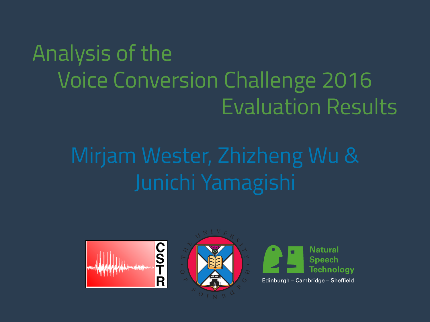#### Analysis of the Voice Conversion Challenge 2016 Evaluation Results

#### Mirjam Wester, Zhizheng Wu & Junichi Yamagishi

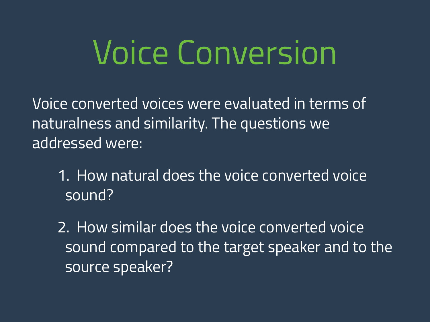# Voice Conversion

Voice converted voices were evaluated in terms of naturalness and similarity. The questions we addressed were:

1. How natural does the voice converted voice sound?

2. How similar does the voice converted voice sound compared to the target speaker and to the source speaker?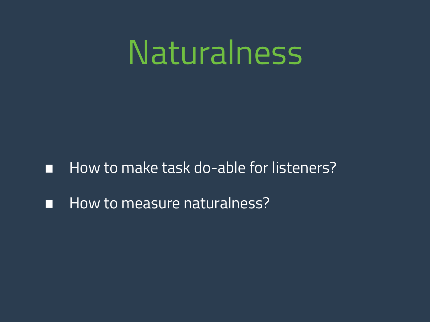# Naturalness

- **How to make task do-able for listeners?**
- **How to measure naturalness?**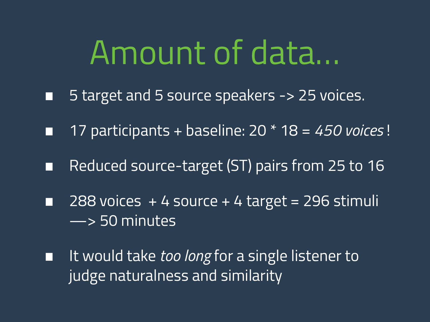## Amount of data…

- 5 target and 5 source speakers -> 25 voices.
- **17** participants + baseline:  $20 * 18 = 450$  voices !
- **Reduced source-target (ST) pairs from 25 to 16**
- 288 voices  $+4$  source  $+4$  target = 296 stimuli —> 50 minutes
- It would take *too long* for a single listener to judge naturalness and similarity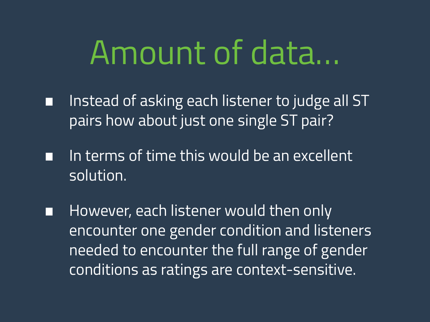# Amount of data…

- **The last instead of asking each listener to judge all ST** pairs how about just one single ST pair?
- In terms of time this would be an excellent solution.
- **However, each listener would then only** encounter one gender condition and listeners needed to encounter the full range of gender conditions as ratings are context-sensitive.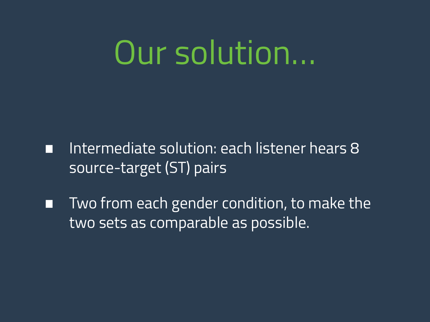# Our solution…

- **Intermediate solution: each listener hears 8** source-target (ST) pairs
- **Two from each gender condition, to make the** two sets as comparable as possible.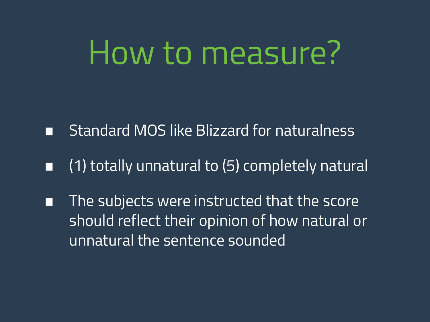# How to measure?

- Standard MOS like Blizzard for naturalness
- $\blacksquare$  (1) totally unnatural to (5) completely natural
- **The subjects were instructed that the score** should reflect their opinion of how natural or unnatural the sentence sounded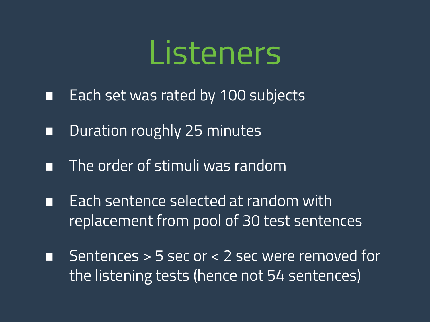### Listeners

- **Each set was rated by 100 subjects**
- **Duration roughly 25 minutes**
- The order of stimuli was random
- Each sentence selected at random with replacement from pool of 30 test sentences
- **Sentences > 5 sec or < 2 sec were removed for** the listening tests (hence not 54 sentences)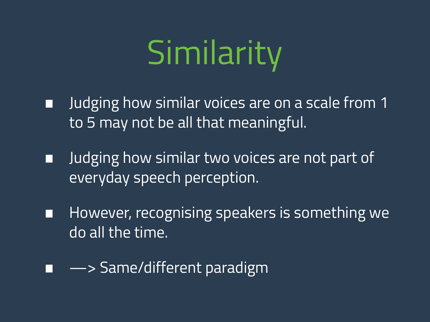# Similarity

- **Judging how similar voices are on a scale from 1** to 5 may not be all that meaningful.
- **U** Judging how similar two voices are not part of everyday speech perception.
- **However, recognising speakers is something we** do all the time.
- $\blacksquare$   $\rightarrow$  Same/different paradigm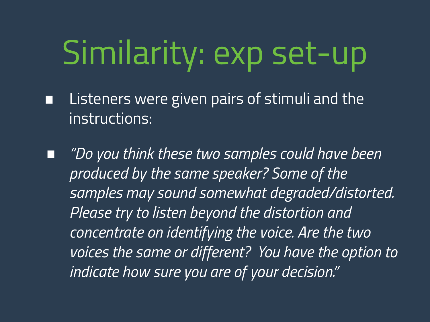# Similarity: exp set-up

- **Example 12 Figure 11 Figure 11 Figure 11 Figure 11 Figure 11 Figure 11 Figure 11 Figure 11 Figure 11 Figure 11** instructions:
- *• "Do you think these two samples could have been produced by the same speaker? Some of the samples may sound somewhat degraded/distorted. Please try to listen beyond the distortion and concentrate on identifying the voice. Are the two voices the same or different? You have the option to indicate how sure you are of your decision."*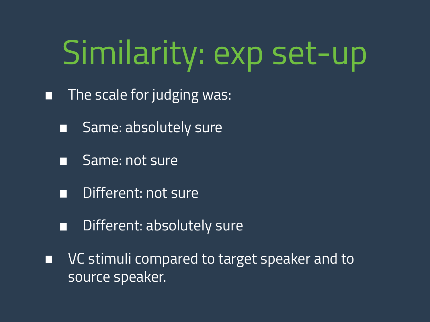# Similarity: exp set-up

- **The scale for judging was:** 
	- Same: absolutely sure
	- Same: not sure
	- Different: not sure
	- **•** Different: absolutely sure
- **VC stimuli compared to target speaker and to** source speaker.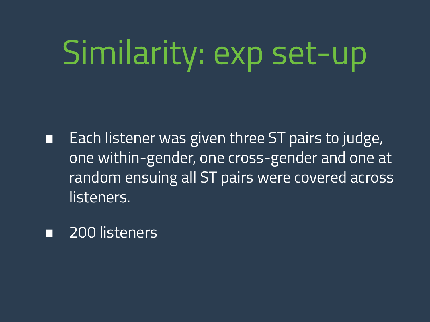# Similarity: exp set-up

- Each listener was given three ST pairs to judge, one within-gender, one cross-gender and one at random ensuing all ST pairs were covered across listeners.
- 200 listeners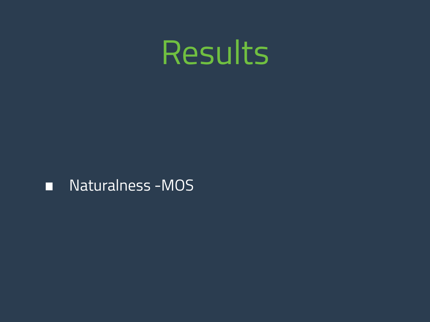### Results

**• Naturalness -MOS**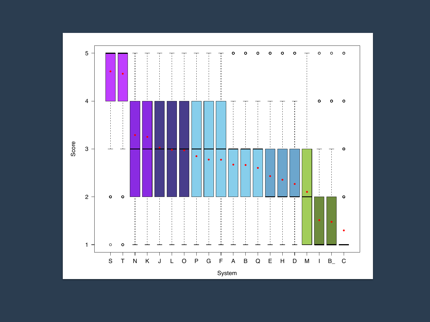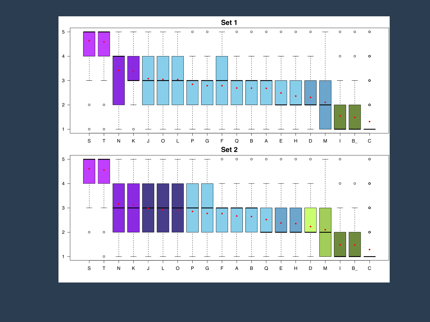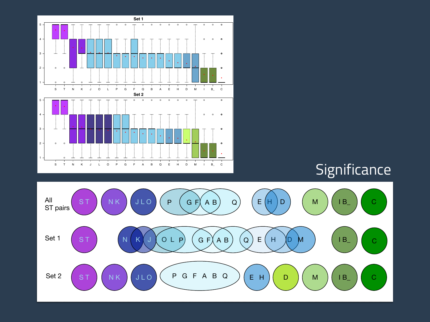

#### **Significance**

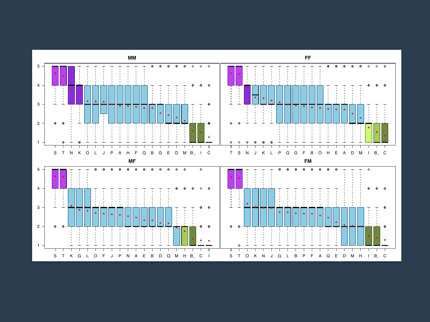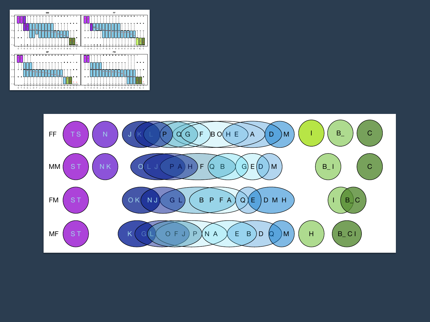

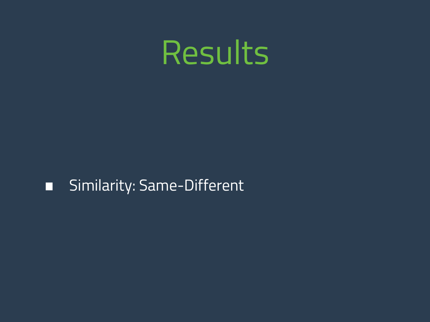### Results

#### **E** Similarity: Same-Different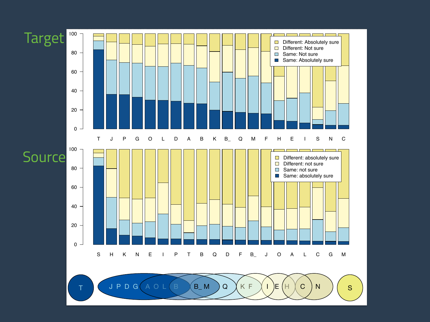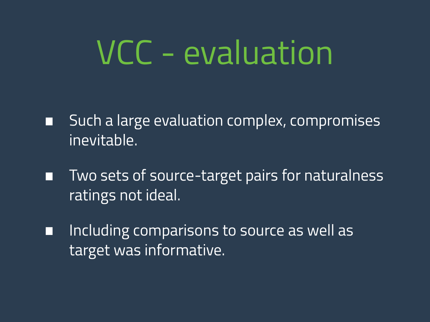# VCC - evaluation

- **Such a large evaluation complex, compromises** inevitable.
- **Two sets of source-target pairs for naturalness** ratings not ideal.
- **Including comparisons to source as well as** target was informative.